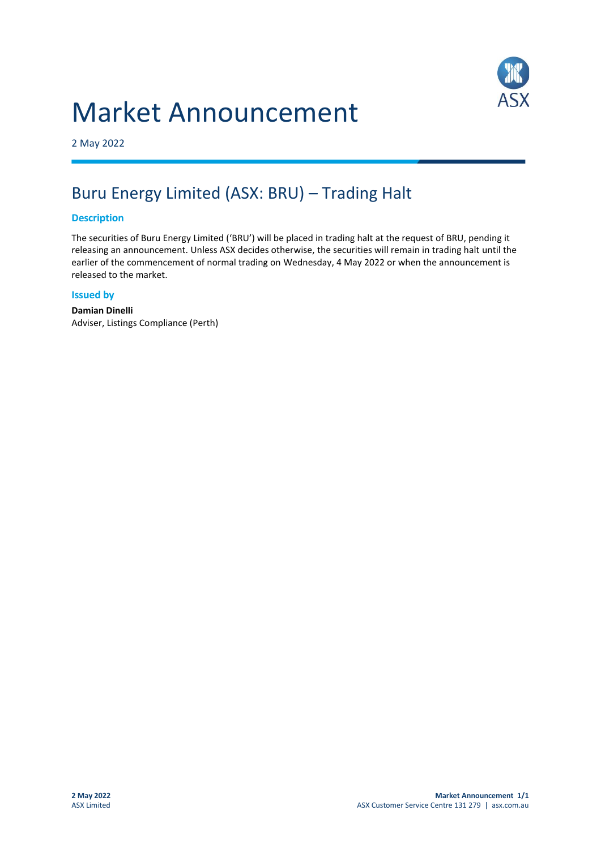# Market Announcement



2 May 2022

## Buru Energy Limited (ASX: BRU) – Trading Halt

#### **Description**

The securities of Buru Energy Limited ('BRU') will be placed in trading halt at the request of BRU, pending it releasing an announcement. Unless ASX decides otherwise, the securities will remain in trading halt until the earlier of the commencement of normal trading on Wednesday, 4 May 2022 or when the announcement is released to the market.

#### **Issued by**

**Damian Dinelli** Adviser, Listings Compliance (Perth)